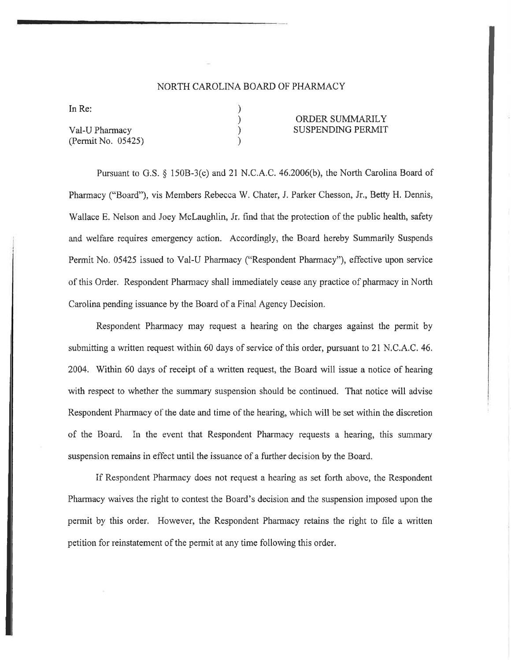### NORTH CAROLINA BOARD OF PHARMACY

) ) ) )

In Re:

Val-U Pharmacy (Permit No. 05425)

#### ORDER SUMMARILY SUSPENDING PERMIT

Pursuant to G.S. \$ 1508-3(c) and 21 N.C.A.C. 46.2006(b), the North Carolina Board of Pharmacy ("Board"), vis Members Rebecca W. Chater, J. Parker Chesson, Jr., Betty H, Dennis, Wallace E. Nelson and Joey Mclaughlin, Jr. find that the protection of the public health, safety and welfare requires emergency action. Accordingly, the Board hereby Summarily Suspends Permit No. 05425 issued to Val-U Pharmacy ("Respondent Pharmacy"), effective upon service of this Order. Respondent Phamracy shall immediately cease any practice of pharmacy in North Carolina pending issuance by the Board of a Final Agency Decision.

Respondent Pharmacy may request a hearing on the charges against the permit by submitting a written request within 60 days of service of this order, pursuant to 2l N.C.A.C. 46. 2004. Within 60 days of receipt of a written request, the Board will issue a notice of hearing with respect to whether the summary suspension should be continued. That notice will advise Respondent Pharmacy of the date and time of the hearing, which will be set within the discretion of the Board. In the event that Respondent Pharmacy requests a hearing, this summary suspension remains in effect until the issuance of a further decision by the Board,

If Respondent Pharmacy does not request a hearing as set forth above, the Respondent Pharmacy waives the right to contest the Board's decision and the suspension imposed upon the permit by this order. However, the Respondent Pharmacy retains the right to file a written petition for reinstatement of the permit at any time following this order.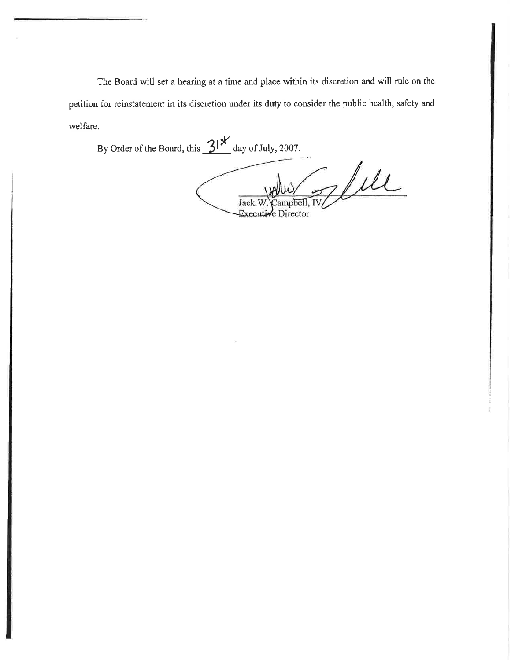The Board will set a hearing at a time and place within its discretion and will rule on the petition for reinstatement in its discretion under its duty to consider the public health, safety and welfare,

By Order of the Board, this  $31^{x}$  day of July, 2007. Jule Jack ampbell, IV Director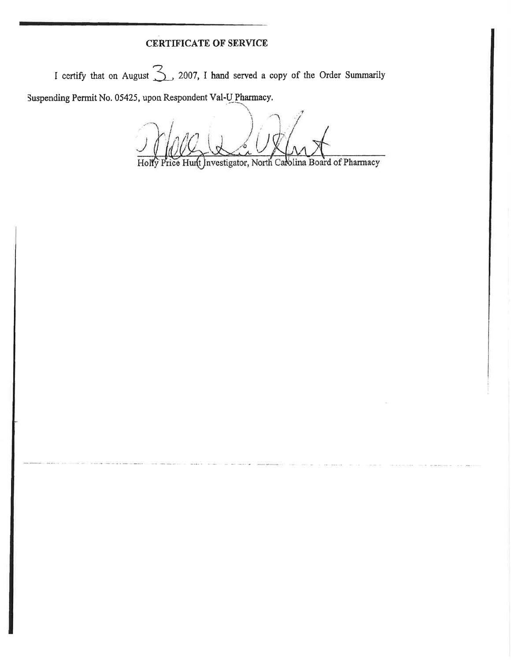## **CERTIFICATE OF SERVICE**

I certify that on August  $\sum$ , 2007, I hand served a copy of the Order Summarily

Suspending Permit No. 05425, upon Respondent Val-U Pharmacy.

Price Hunt Investigator, North Carolina Board of Pharmacy Holly